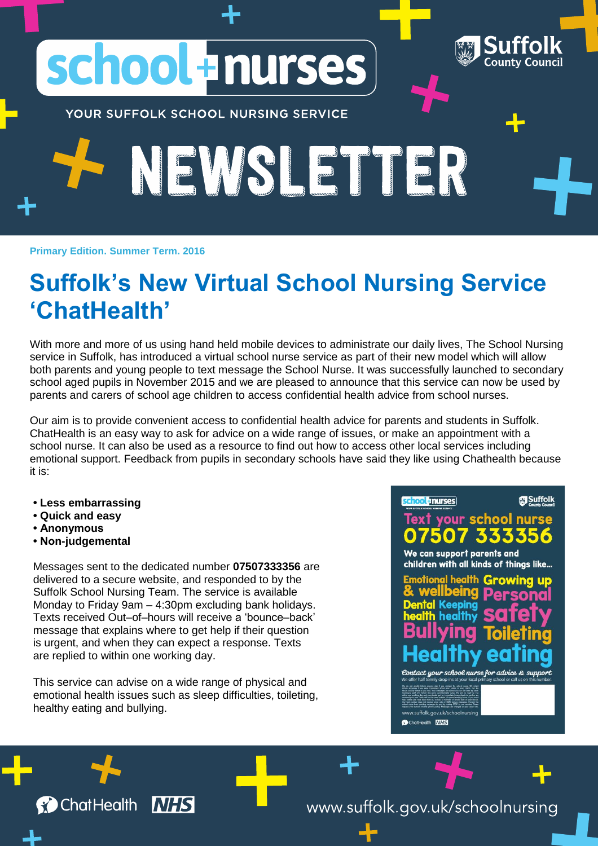YOUR SUFFOLK SCHOOL NURSING SERVICE

school Inurses

## **Primary Edition. Summer Term. 2016 Suffolk's New Virtual School Nursing Service 'ChatHealth'**

The MS E THE FILE

With more and more of us using hand held mobile devices to administrate our daily lives, The School Nursing service in Suffolk, has introduced a virtual school nurse service as part of their new model which will allow both parents and young people to text message the School Nurse. It was successfully launched to secondary school aged pupils in November 2015 and we are pleased to announce that this service can now be used by parents and carers of school age children to access confidential health advice from school nurses.

Our aim is to provide convenient access to confidential health advice for parents and students in Suffolk. ChatHealth is an easy way to ask for advice on a wide range of issues, or make an appointment with a school nurse. It can also be used as a resource to find out how to access other local services including emotional support. Feedback from pupils in secondary schools have said they like using Chathealth because it is:

- **Less embarrassing**
- **Quick and easy**
- **Anonymous**
- **Non-judgemental**

**C** ChatHealth

Messages sent to the dedicated number **07507333356** are delivered to a secure website, and responded to by the Suffolk School Nursing Team. The service is available Monday to Friday 9am – 4:30pm excluding bank holidays. Texts received Out–of–hours will receive a 'bounce–back' message that explains where to get help if their question is urgent, and when they can expect a response. Texts are replied to within one working day.

This service can advise on a wide range of physical and emotional health issues such as sleep difficulties, toileting, healthy eating and bullying.

**NHS** 

## school + nurses

xt your school nurse: We can support parents and children with all kinds of things like...

**Suffolk** 

**County Council** 

Emotional health Growing eing p Dental Keeping<br>health healthy

Contact your school nurse for advice &

www.suffolk.gov.uk/schoolnursing

ChatHealth MHS